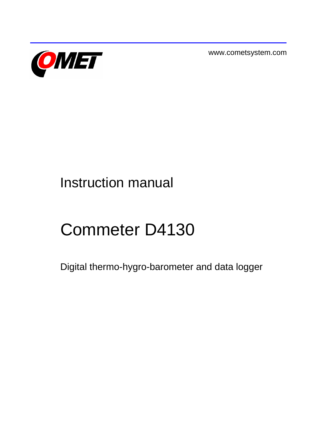

www.cometsystem.com

# Instruction manual

# Commeter D4130

Digital thermo-hygro-barometer and data logger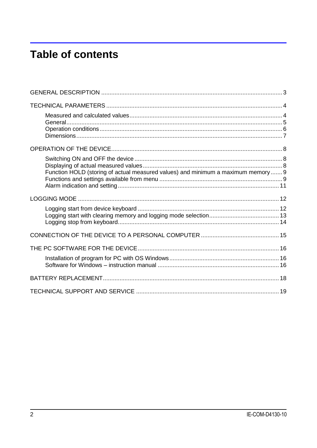# **Table of contents**

| Function HOLD (storing of actual measured values) and minimum a maximum memory  9 |  |
|-----------------------------------------------------------------------------------|--|
|                                                                                   |  |
|                                                                                   |  |
|                                                                                   |  |
|                                                                                   |  |
|                                                                                   |  |
|                                                                                   |  |
|                                                                                   |  |
|                                                                                   |  |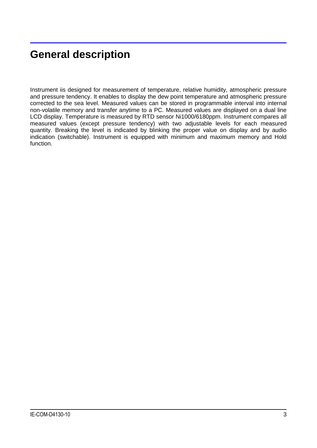# <span id="page-2-0"></span>**General description**

Instrument iis designed for measurement of temperature, relative humidity, atmospheric pressure and pressure tendency. It enables to display the dew point temperature and atmospheric pressure corrected to the sea level. Measured values can be stored in programmable interval into internal non-volatile memory and transfer anytime to a PC. Measured values are displayed on a dual line LCD display. Temperature is measured by RTD sensor Ni1000/6180ppm. Instrument compares all measured values (except pressure tendency) with two adjustable levels for each measured quantity. Breaking the level is indicated by blinking the proper value on display and by audio indication (switchable). Instrument is equipped with minimum and maximum memory and Hold function.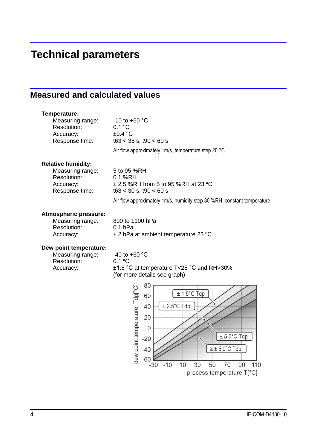# <span id="page-3-0"></span>**Technical parameters**

## <span id="page-3-1"></span>**Measured and calculated values**

| Temperature:<br>Measuring range:<br>Resolution:<br>Accuracy:<br>Response time:              | $-10$ to $+60$ °C<br>0.1 °C<br>$\pm 0.4$ °C<br>$t63 < 35$ s, $t90 < 60$ s                                                                                                    |
|---------------------------------------------------------------------------------------------|------------------------------------------------------------------------------------------------------------------------------------------------------------------------------|
|                                                                                             | Air flow approximately 1m/s, temperature step 20 °C                                                                                                                          |
| <b>Relative humidity:</b><br>Measuring range:<br>Resolution:<br>Accuracy:<br>Response time: | 5 to 95 %RH<br>$0.1$ %RH<br>$\pm$ 2.5 %RH from 5 to 95 %RH at 23 °C<br>$t63 < 30$ s, $t90 < 60$ s<br>Air flow approximately 1m/s, humidity step 30 %RH, constant temperature |
| Atmospheric pressure:<br>Measuring range:<br>Resolution:<br>Accuracy:                       | 800 to 1100 hPa<br>$0.1$ hPa<br>$\pm$ 2 hPa at ambient temperature 23 °C                                                                                                     |

#### **Dew point temperature:**

| Measuring range: |  |
|------------------|--|
| Resolution:      |  |
| Accuracy:        |  |

 $-40$  to  $+60$  °C  $0.1$  °C ±1.5 °C at temperature T<25 °C and RH>30% (for more details see graph)

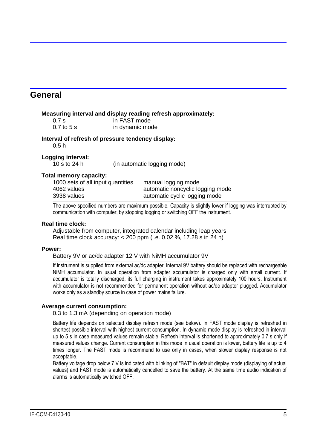### <span id="page-4-0"></span>**General**

#### **Measuring interval and display reading refresh approximately:**

| 0.7s         | in FAST mode    |
|--------------|-----------------|
| $0.7$ to 5 s | in dynamic mode |

#### **Interval of refresh of pressure tendency display:**

0.5 h

### **Logging interval:**

10 s to 24 h (in automatic logging mode)

### **Total memory capacity:**

| 4062 values<br>3938 values        | automatic noncyclic logging mode<br>automatic cyclic logging mode |  |
|-----------------------------------|-------------------------------------------------------------------|--|
| 1000 sets of all input quantities | manual logging mode                                               |  |

The above specified numbers are maximum possible. Capacity is slightly lower if logging was interrupted by communication with computer, by stopping logging or switching OFF the instrument.

### **Real time clock:**

Adjustable from computer, integrated calendar including leap years Real time clock accuracy: < 200 ppm (i.e. 0.02 %, 17.28 s in 24 h)

### **Power:**

Battery 9V or ac/dc adapter 12 V with NiMH accumulator 9V

\_\_\_\_\_\_\_\_\_\_\_\_\_\_\_\_\_\_\_\_\_\_\_\_\_\_\_\_\_\_\_\_\_\_\_\_\_\_\_\_\_\_\_\_\_\_\_\_\_\_\_\_\_\_\_\_\_\_\_\_\_\_\_\_\_\_\_\_\_\_\_\_\_\_\_\_\_\_\_\_\_\_\_\_\_\_\_\_\_\_\_\_\_\_\_\_\_\_\_\_\_\_\_\_\_\_\_\_\_\_\_\_\_\_\_\_\_\_\_\_\_\_\_\_\_\_\_\_\_\_\_\_\_\_\_\_\_\_\_\_\_\_\_\_\_\_\_\_\_\_\_\_\_\_\_\_\_ If instrument is supplied from external ac/dc adapter, internal 9V battery should be replaced with rechargeable NiMH accumulator. In usual operation from adapter accumulator is charged only with small current. If accumulator is totally discharged, its full charging in instrument takes approximately 100 hours. Instrument with accumulator is not recommended for permanent operation without ac/dc adapter plugged. Accumulator works only as a standby source in case of power mains failure.

### **Average current consumption:**

0.3 to 1.3 mA (depending on operation mode)

\_\_\_\_\_\_\_\_\_\_\_\_\_\_\_\_\_\_\_\_\_\_\_\_\_\_\_\_\_\_\_\_\_\_\_\_\_\_\_\_\_\_\_\_\_\_\_\_\_\_\_\_\_\_\_\_\_\_\_\_\_\_\_\_\_\_\_\_\_\_\_\_\_\_\_\_\_\_\_\_\_\_\_\_\_\_\_\_\_\_\_\_\_\_\_\_\_\_\_\_\_\_\_\_\_\_\_\_\_\_\_\_\_\_\_\_\_\_\_\_\_\_\_\_\_\_\_\_\_\_\_\_\_\_\_\_\_\_\_\_\_\_\_\_\_\_\_\_\_\_\_\_\_\_\_\_\_ Battery life depends on selected display refresh mode (see below). In FAST mode display is refreshed in shortest possible interval with highest current consumption. In dynamic mode display is refreshed in interval up to 5 s in case measured values remain stable. Refresh interval is shortened to approximately 0.7 s only if measured values change. Current consumption in this mode in usual operation is lower, battery life is up to 4 times longer. The FAST mode is recommend to use only in cases, when slower display response is not acceptable.

Battery voltage drop below 7 V is indicated with blinking of "BAT" in default display mode (displaying of actual values) and FAST mode is automatically cancelled to save the battery. At the same time audio indication of alarms is automatically switched OFF.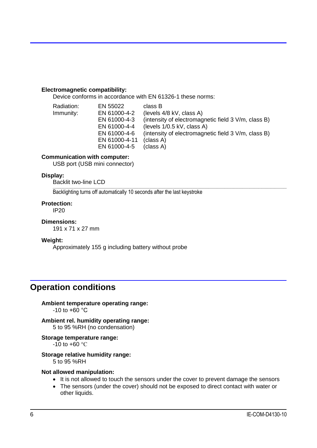### **Electromagnetic compatibility:**

Device conforms in accordance with EN 61326-1 these norms:

| Radiation: | EN 55022      | class B                                             |
|------------|---------------|-----------------------------------------------------|
| Immunity:  | EN 61000-4-2  | (levels 4/8 kV, class A)                            |
|            | EN 61000-4-3  | (intensity of electromagnetic field 3 V/m, class B) |
|            | EN 61000-4-4  | (levels $1/0.5$ kV, class A)                        |
|            | EN 61000-4-6  | (intensity of electromagnetic field 3 V/m, class B) |
|            | EN 61000-4-11 | (class A)                                           |
|            | EN 61000-4-5  | (class A)                                           |

#### **Communication with computer:**

USB port (USB mini connector)

#### **Display:**

Backlit two-line LCD

\_\_\_\_\_\_\_\_\_\_\_\_\_\_\_\_\_\_\_\_\_\_\_\_\_\_\_\_\_\_\_\_\_\_\_\_\_\_\_\_\_\_\_\_\_\_\_\_\_\_\_\_\_\_\_\_\_\_\_\_\_\_\_\_\_\_\_\_\_\_\_\_\_\_\_\_\_\_\_\_\_\_\_\_\_\_\_\_\_\_\_\_\_\_\_\_\_\_\_\_\_\_\_\_\_\_\_\_\_\_\_\_\_\_\_\_\_\_\_\_\_\_\_\_\_\_\_\_\_\_\_\_\_\_\_\_\_\_\_\_\_\_\_\_\_\_\_\_\_\_\_\_\_\_\_\_\_\_ Backlighting turns off automatically 10 seconds after the last keystroke

#### **Protection:**

IP20

#### **Dimensions:**

191 x 71 x 27 mm

#### **Weight:**

Approximately 155 g including battery without probe

### <span id="page-5-0"></span>**Operation conditions**

**Ambient temperature operating range:**  $-10$  to  $+60$  °C

**Ambient rel. humidity operating range:** 5 to 95 %RH (no condensation)

#### **Storage temperature range:**

 $-10$  to  $+60$  °C

### **Storage relative humidity range:**

5 to 95 %RH

#### **Not allowed manipulation:**

- It is not allowed to touch the sensors under the cover to prevent damage the sensors
- The sensors (under the cover) should not be exposed to direct contact with water or other liquids.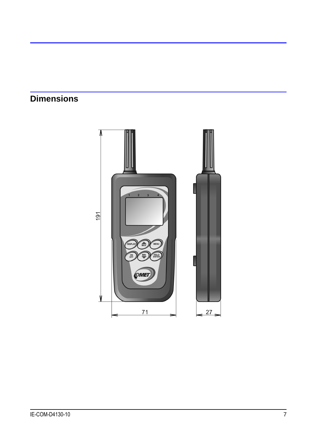# <span id="page-6-0"></span>**Dimensions**

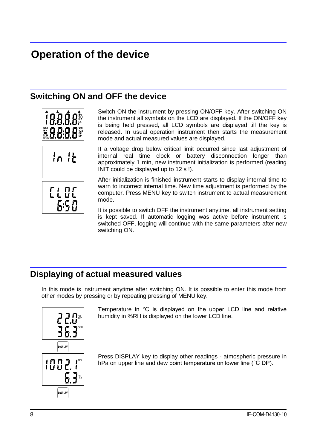# <span id="page-7-0"></span>**Operation of the device**

# <span id="page-7-1"></span>**Switching ON and OFF the device**



Switch ON the instrument by pressing ON/OFF key. After switching ON the instrument all symbols on the LCD are displayed. If the ON/OFF key is being held pressed, all LCD symbols are displayed till the key is released. In usual operation instrument then starts the measurement mode and actual measured values are displayed.

If a voltage drop below critical limit occurred since last adjustment of internal real time clock or battery disconnection longer than approximately 1 min, new instrument initialization is performed (reading INIT could be displayed up to 12 s !).

After initialization is finished instrument starts to display internal time to warn to incorrect internal time. New time adjustment is performed by the computer. Press MENU key to switch instrument to actual measurement mode.

It is possible to switch OFF the instrument anytime, all instrument setting is kept saved. If automatic logging was active before instrument is switched OFF, logging will continue with the same parameters after new switching ON.

# <span id="page-7-2"></span>**Displaying of actual measured values**

In this mode is instrument anytime after switching ON. It is possible to enter this mode from other modes by pressing or by repeating pressing of MENU key.



Temperature in °C is displayed on the upper LCD line and relative humidity in %RH is displayed on the lower LCD line.

Press DISPLAY key to display other readings - atmospheric pressure in hPa on upper line and dew point temperature on lower line (°C DP).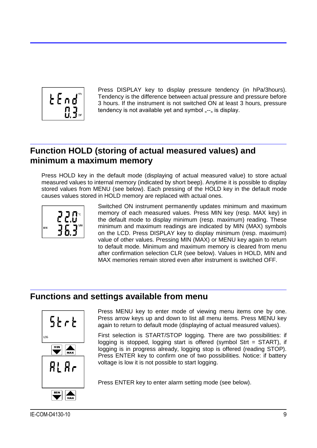

Press DISPLAY key to display pressure tendency (in hPa/3hours). Tendency is the difference between actual pressure and pressure before 3 hours. If the instrument is not switched ON at least 3 hours, pressure tendency is not available yet and symbol  $_{n}$ - $_{n}$  is display.

# <span id="page-8-0"></span>**Function HOLD (storing of actual measured values) and minimum a maximum memory**

Press HOLD key in the default mode (displaying of actual measured value) to store actual measured values to internal memory (indicated by short beep). Anytime it is possible to display stored values from MENU (see below). Each pressing of the HOLD key in the default mode causes values stored in HOLD memory are replaced with actual ones.



Switched ON instrument permanently updates minimum and maximum memory of each measured values. Press MIN key (resp. MAX key) in the default mode to display minimum (resp. maximum) reading. These minimum and maximum readings are indicated by MIN (MAX) symbols on the LCD. Press DISPLAY key to display minimum (resp. maximum) value of other values. Pressing MIN (MAX) or MENU key again to return to default mode. Minimum and maximum memory is cleared from menu after confirmation selection CLR (see below). Values in HOLD, MIN and MAX memories remain stored even after instrument is switched OFF.

### <span id="page-8-1"></span>**Functions and settings available from menu**



Press MENU key to enter mode of viewing menu items one by one. Press arrow keys up and down to list all menu items. Press MENU key again to return to default mode (displaying of actual measured values).

First selection is START/STOP logging. There are two possibilities: if logging is stopped, logging start is offered (symbol Strt = START), if logging is in progress already, logging stop is offered (reading STOP). Press ENTER key to confirm one of two possibilities. Notice: if battery voltage is low it is not possible to start logging.

Press ENTER key to enter alarm setting mode (see below).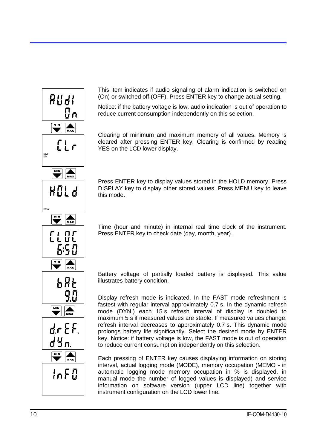

This item indicates if audio signaling of alarm indication is switched on (On) or switched off (OFF). Press ENTER key to change actual setting.

Notice: if the battery voltage is low, audio indication is out of operation to reduce current consumption independently on this selection.

Clearing of minimum and maximum memory of all values. Memory is cleared after pressing ENTER key. Clearing is confirmed by reading YES on the LCD lower display.

Press ENTER key to display values stored in the HOLD memory. Press DISPLAY key to display other stored values. Press MENU key to leave this mode.

Time (hour and minute) in internal real time clock of the instrument. Press ENTER key to check date (day, month, year).

Battery voltage of partially loaded battery is displayed. This value illustrates battery condition.

Display refresh mode is indicated. In the FAST mode refreshment is fastest with regular interval approximately 0.7 s. In the dynamic refresh mode (DYN.) each 15 s refresh interval of display is doubled to maximum 5 s if measured values are stable. If measured values change, refresh interval decreases to approximately 0.7 s. This dynamic mode prolongs battery life significantly. Select the desired mode by ENTER key. Notice: if battery voltage is low, the FAST mode is out of operation to reduce current consumption independently on this selection.

Each pressing of ENTER key causes displaying information on storing interval, actual logging mode (MODE), memory occupation (MEMO - in automatic logging mode memory occupation in % is displayed, in manual mode the number of logged values is displayed) and service information on software version (upper LCD line) together with instrument configuration on the LCD lower line.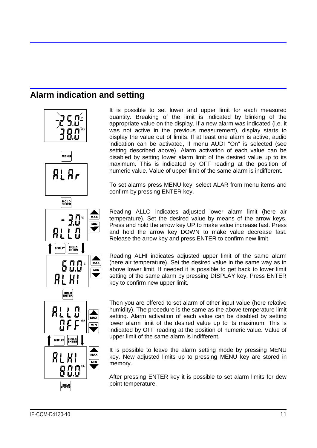# <span id="page-10-0"></span>**Alarm indication and setting**



It is possible to set lower and upper limit for each measured quantity. Breaking of the limit is indicated by blinking of the appropriate value on the display. If a new alarm was indicated (i.e. it was not active in the previous measurement), display starts to display the value out of limits. If at least one alarm is active, audio indication can be activated, if menu AUDI "On" is selected (see setting described above). Alarm activation of each value can be disabled by setting lower alarm limit of the desired value up to its maximum. This is indicated by OFF reading at the position of numeric value. Value of upper limit of the same alarm is indifferent.

To set alarms press MENU key, select ALAR from menu items and confirm by pressing ENTER key.

Reading ALLO indicates adjusted lower alarm limit (here air temperature). Set the desired value by means of the arrow keys. Press and hold the arrow key UP to make value increase fast. Press and hold the arrow key DOWN to make value decrease fast. Release the arrow key and press ENTER to confirm new limit.

Reading ALHI indicates adjusted upper limit of the same alarm (here air temperature). Set the desired value in the same way as in above lower limit. If needed it is possible to get back to lower limit setting of the same alarm by pressing DISPLAY key. Press ENTER key to confirm new upper limit.

Then you are offered to set alarm of other input value (here relative humidity). The procedure is the same as the above temperature limit setting. Alarm activation of each value can be disabled by setting lower alarm limit of the desired value up to its maximum. This is indicated by OFF reading at the position of numeric value. Value of upper limit of the same alarm is indifferent.

It is possible to leave the alarm setting mode by pressing MENU key. New adjusted limits up to pressing MENU key are stored in memory.

After pressing ENTER key it is possible to set alarm limits for dew point temperature.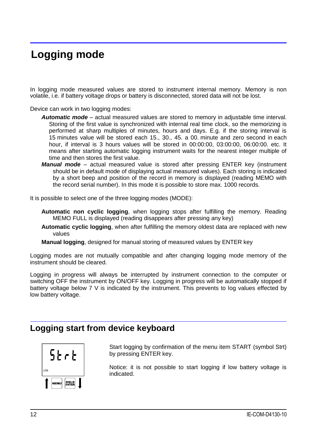# <span id="page-11-0"></span>**Logging mode**

In logging mode measured values are stored to instrument internal memory. Memory is non volatile, i.e. if battery voltage drops or battery is disconnected, stored data will not be lost.

Device can work in two logging modes:

- *Automatic mode* actual measured values are stored to memory in adjustable time interval. Storing of the first value is synchronized with internal real time clock, so the memorizing is performed at sharp multiples of minutes, hours and days. E.g. if the storing interval is 15 minutes value will be stored each 15., 30., 45. a 00. minute and zero second in each hour, if interval is 3 hours values will be stored in 00:00:00, 03:00:00, 06:00:00. etc. It means after starting automatic logging instrument waits for the nearest integer multiple of time and then stores the first value.
- *Manual mode* actual measured value is stored after pressing ENTER key (instrument should be in default mode of displaying actual measured values). Each storing is indicated by a short beep and position of the record in memory is displayed (reading MEMO with the record serial number). In this mode it is possible to store max. 1000 records.

It is possible to select one of the three logging modes (MODE):

- **Automatic non cyclic logging**, when logging stops after fulfilling the memory. Reading MEMO FULL is displayed (reading disappears after pressing any key)
- **Automatic cyclic logging**, when after fulfilling the memory oldest data are replaced with new values
- **Manual logging**, designed for manual storing of measured values by ENTER key

Logging modes are not mutually compatible and after changing logging mode memory of the instrument should be cleared.

Logging in progress will always be interrupted by instrument connection to the computer or switching OFF the instrument by ON/OFF key. Logging in progress will be automatically stopped if battery voltage below 7 V is indicated by the instrument. This prevents to log values effected by low battery voltage.

### <span id="page-11-1"></span>**Logging start from device keyboard**



Start logging by confirmation of the menu item START (symbol Strt) by pressing ENTER key.

Notice: it is not possible to start logging if low battery voltage is indicated.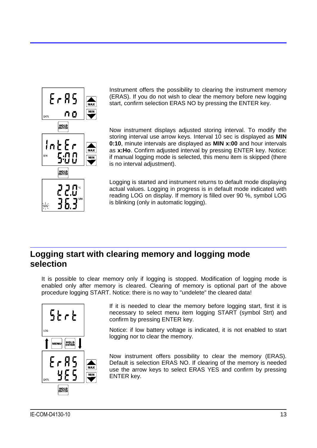

Instrument offers the possibility to clearing the instrument memory (ERAS). If you do not wish to clear the memory before new logging start, confirm selection ERAS NO by pressing the ENTER key.

Now instrument displays adjusted storing interval. To modify the storing interval use arrow keys. Interval 10 sec is displayed as **MIN 0:10**, minute intervals are displayed as **MIN x:00** and hour intervals as **x:Ho**. Confirm adjusted interval by pressing ENTER key. Notice: if manual logging mode is selected, this menu item is skipped (there is no interval adjustment).

Logging is started and instrument returns to default mode displaying actual values. Logging in progress is in default mode indicated with reading LOG on display. If memory is filled over 90 %, symbol LOG is blinking (only in automatic logging).

## <span id="page-12-0"></span>**Logging start with clearing memory and logging mode selection**

It is possible to clear memory only if logging is stopped. Modification of logging mode is enabled only after memory is cleared. Clearing of memory is optional part of the above procedure logging START. Notice: there is no way to "undelete" the cleared data!



If it is needed to clear the memory before logging start, first it is necessary to select menu item logging START (symbol Strt) and confirm by pressing ENTER key.

Notice: if low battery voltage is indicated, it is not enabled to start logging nor to clear the memory.

Now instrument offers possibility to clear the memory (ERAS). Default is selection ERAS NO. If clearing of the memory is needed use the arrow keys to select ERAS YES and confirm by pressing ENTER key.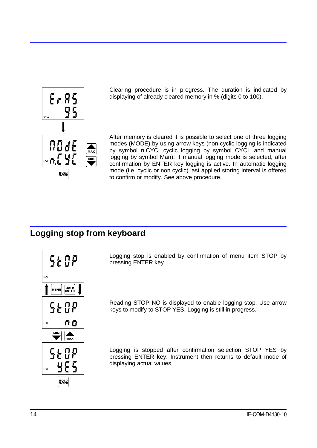

Clearing procedure is in progress. The duration is indicated by displaying of already cleared memory in % (digits 0 to 100).

After memory is cleared it is possible to select one of three logging modes (MODE) by using arrow keys (non cyclic logging is indicated by symbol n.CYC, cyclic logging by symbol CYCL and manual logging by symbol Man). If manual logging mode is selected, after confirmation by ENTER key logging is active. In automatic logging mode (i.e. cyclic or non cyclic) last applied storing interval is offered to confirm or modify. See above procedure.

## <span id="page-13-0"></span>**Logging stop from keyboard**



Logging stop is enabled by confirmation of menu item STOP by pressing ENTER key.

Reading STOP NO is displayed to enable logging stop. Use arrow keys to modify to STOP YES. Logging is still in progress.

Logging is stopped after confirmation selection STOP YES by pressing ENTER key. Instrument then returns to default mode of displaying actual values.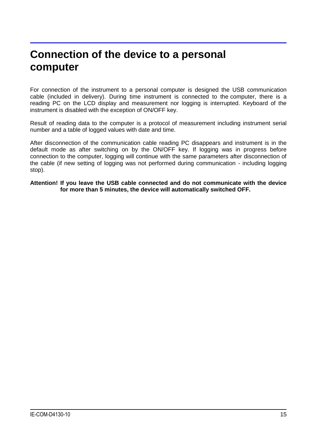# <span id="page-14-0"></span>**Connection of the device to a personal computer**

For connection of the instrument to a personal computer is designed the USB communication cable (included in delivery). During time instrument is connected to the computer, there is a reading PC on the LCD display and measurement nor logging is interrupted. Keyboard of the instrument is disabled with the exception of ON/OFF key.

Result of reading data to the computer is a protocol of measurement including instrument serial number and a table of logged values with date and time.

After disconnection of the communication cable reading PC disappears and instrument is in the default mode as after switching on by the ON/OFF key. If logging was in progress before connection to the computer, logging will continue with the same parameters after disconnection of the cable (if new setting of logging was not performed during communication - including logging stop).

**Attention! If you leave the USB cable connected and do not communicate with the device for more than 5 minutes, the device will automatically switched OFF.**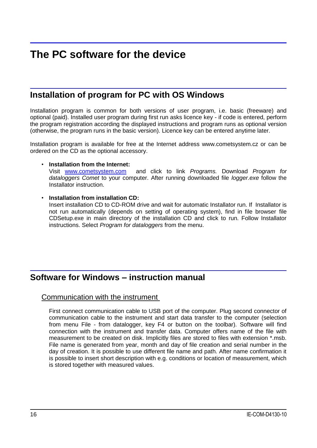# <span id="page-15-0"></span>**The PC software for the device**

## <span id="page-15-1"></span>**Installation of program for PC with OS Windows**

Installation program is common for both versions of user program, i.e. basic (freeware) and optional (paid). Installed user program during first run asks licence key - if code is entered, perform the program registration according the displayed instructions and program runs as optional version (otherwise, the program runs in the basic version). Licence key can be entered anytime later.

Installation program is available for free at the Internet address www.cometsystem.cz or can be ordered on the CD as the optional accessory.

### • **Installation from the Internet:**

Visit [www.cometsystem.com](http://www.cometsystem.com/) and click to link *Programs.* Download *Program for dataloggers Comet* to your computer. After running downloaded file *logger.exe* follow the Installator instruction.

### • **Installation from installation CD:**

Insert installation CD to CD-ROM drive and wait for automatic Installator run. If Installator is not run automatically (depends on setting of operating system), find in file browser file CDSetup.exe in main directory of the installation CD and click to run. Follow Installator instructions. Select *Program for dataloggers* from the menu.

### <span id="page-15-2"></span>**Software for Windows – instruction manual**

### Communication with the instrument

First connect communication cable to USB port of the computer. Plug second connector of communication cable to the instrument and start data transfer to the computer (selection from menu File - from datalogger, key F4 or button on the toolbar). Software will find connection with the instrument and transfer data. Computer offers name of the file with measurement to be created on disk. Implicitly files are stored to files with extension \*.msb. File name is generated from year, month and day of file creation and serial number in the day of creation. It is possible to use different file name and path. After name confirmation it is possible to insert short description with e.g. conditions or location of measurement, which is stored together with measured values.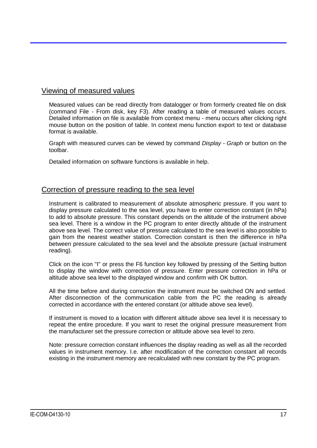### Viewing of measured values

Measured values can be read directly from datalogger or from formerly created file on disk (command File - From disk, key F3). After reading a table of measured values occurs. Detailed information on file is available from context menu - menu occurs after clicking right mouse button on the position of table. In context menu function export to text or database format is available.

Graph with measured curves can be viewed by command *Display - Graph* or button on the toolbar.

Detailed information on software functions is available in help.

### Correction of pressure reading to the sea level

Instrument is calibrated to measurement of absolute atmospheric pressure. If you want to display pressure calculated to the sea level, you have to enter correction constant (in hPa) to add to absolute pressure. This constant depends on the altitude of the instrument above sea level. There is a window in the PC program to enter directly altitude of the instrument above sea level. The correct value of pressure calculated to the sea level is also possible to gain from the nearest weather station. Correction constant is then the difference in hPa between pressure calculated to the sea level and the absolute pressure (actual instrument reading).

Click on the icon "I" or press the F6 function key followed by pressing of the Setting button to display the window with correction of pressure. Enter pressure correction in hPa or altitude above sea level to the displayed window and confirm with OK button.

All the time before and during correction the instrument must be switched ON and settled. After disconnection of the communication cable from the PC the reading is already corrected in accordance with the entered constant (or altitude above sea level).

If instrument is moved to a location with different altitude above sea level it is necessary to repeat the entire procedure. If you want to reset the original pressure measurement from the manufacturer set the pressure correction or altitude above sea level to zero.

Note: pressure correction constant influences the display reading as well as all the recorded values in instrument memory. I.e. after modification of the correction constant all records existing in the instrument memory are recalculated with new constant by the PC program.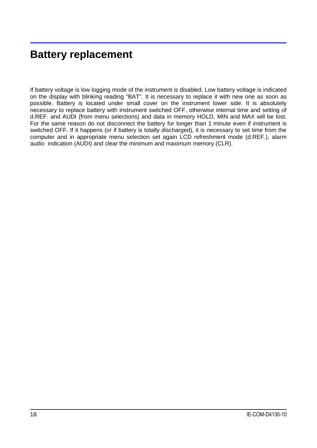# <span id="page-17-0"></span>**Battery replacement**

If battery voltage is low logging mode of the instrument is disabled. Low battery voltage is indicated on the display with blinking reading "BAT". It is necessary to replace it with new one as soon as possible. Battery is located under small cover on the instrument lower side. It is absolutely necessary to replace battery with instrument switched OFF, otherwise internal time and setting of d.REF. and AUDI (from menu selections) and data in memory HOLD, MIN and MAX will be lost. For the same reason do not disconnect the battery for longer than 1 minute even if instrument is switched OFF. If it happens (or if battery is totally discharged), it is necessary to set time from the computer and in appropriate menu selection set again LCD refreshment mode (d.REF.), alarm audio indication (AUDI) and clear the minimum and maximum memory (CLR).